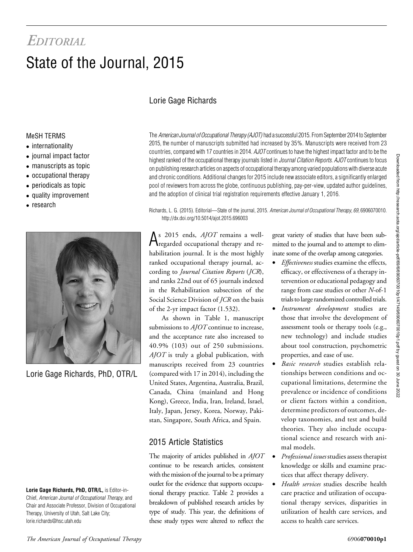# **EDITORIAL** State of the Journal, 2015

# Lorie Gage Richards

#### MeSH TERMS

- internationality
- journal impact factor
- manuscripts as topic
- occupational therapy
- periodicals as topic
- quality improvement
- research



Lorie Gage Richards, PhD, OTR/L

Lorie Gage Richards, PhD, OTR/L, is Editor-in-Chief, American Journal of Occupational Therapy, and Chair and Associate Professor, Division of Occupational Therapy, University of Utah, Salt Lake City; [lorie.richards@hsc.utah.edu](mailto:lorie.richards@hsc.utah.edu)

The American Journal of Occupational Therapy (AJOT) had a successful 2015. From September 2014 to September 2015, the number of manuscripts submitted had increased by 35%. Manuscripts were received from 23 countries, compared with 17 countries in 2014. AJOT continues to have the highest impact factor and to be the highest ranked of the occupational therapy journals listed in *Journal Citation Reports. AJOT* continues to focus on publishing research articles on aspects of occupational therapy among varied populations with diverse acute and chronic conditions. Additional changes for 2015 include new associate editors, a significantly enlarged pool of reviewers from across the globe, continuous publishing, pay-per-view, updated author guidelines, and the adoption of clinical trial registration requirements effective January 1, 2016.

Richards, L. G. (2015). Editorial—State of the journal, 2015. American Journal of Occupational Therapy, 69, 6906070010. http://dx.doi.org/10.5014/ajot.2015.696003

 $A<sup>s</sup>$  2015 ends, *AJOT* remains a well-<br>regarded occupational therapy and rehabilitation journal. It is the most highly ranked occupational therapy journal, according to Journal Citation Reports (JCR), and ranks 22nd out of 65 journals indexed in the Rehabilitation subsection of the Social Science Division of *JCR* on the basis of the 2-yr impact factor (1.532).

As shown in Table 1, manuscript submissions to  $A/OT$  continue to increase, and the acceptance rate also increased to 40.9% (103) out of 250 submissions.  $A$ *JOT* is truly a global publication, with manuscripts received from 23 countries (compared with 17 in 2014), including the United States, Argentina, Australia, Brazil, Canada, China (mainland and Hong Kong), Greece, India, Iran, Ireland, Israel, Italy, Japan, Jersey, Korea, Norway, Pakistan, Singapore, South Africa, and Spain.

#### 2015 Article Statistics

The majority of articles published in  $A$ *JOT* continue to be research articles, consistent with the mission of the journal to be a primary outlet for the evidence that supports occupational therapy practice. Table 2 provides a breakdown of published research articles by type of study. This year, the definitions of these study types were altered to reflect the

great variety of studies that have been submitted to the journal and to attempt to eliminate some of the overlap among categories.

- Effectiveness studies examine the effects, efficacy, or effectiveness of a therapy intervention or educational pedagogy and range from case studies or other N-of-1 trials to large randomized controlled trials.
- Instrument development studies are those that involve the development of assessment tools or therapy tools (e.g., new technology) and include studies about tool construction, psychometric properties, and ease of use.
- Basic research studies establish relationships between conditions and occupational limitations, determine the prevalence or incidence of conditions or client factors within a condition, determine predictors of outcomes, develop taxonomies, and test and build theories. They also include occupational science and research with animal models.
- Professional issues studies assess therapist knowledge or skills and examine practices that affect therapy delivery.
- Health services studies describe health care practice and utilization of occupational therapy services, disparities in utilization of health care services, and access to health care services.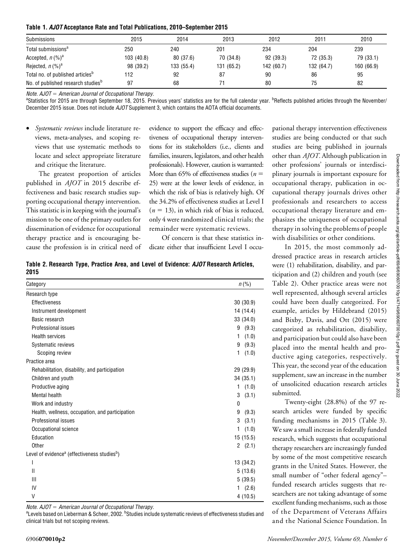|  |  | Table 1. AJOT Acceptance Rate and Total Publications, 2010–September 2015 |  |
|--|--|---------------------------------------------------------------------------|--|
|--|--|---------------------------------------------------------------------------|--|

| Submissions                                    | 2015       | 2014       | 2013       | 2012       | 2011       | 2010       |
|------------------------------------------------|------------|------------|------------|------------|------------|------------|
| Total submissions <sup>a</sup>                 | 250        | 240        | 201        | 234        | 204        | 239        |
| Accepted, $n \, (\%)^a$                        | 103 (40.8) | 80 (37.6)  | 70 (34.8)  | 92 (39.3)  | 72 (35.3)  | 79 (33.1)  |
| Rejected, $n \, (\%)^a$                        | 98 (39.2)  | 133 (55.4) | 131 (65.2) | 142 (60.7) | 132 (64.7) | 160 (66.9) |
| Total no. of published articles <sup>b</sup>   | 112        | 92         | 87         | 90         | 86         | 95         |
| No. of published research studies <sup>b</sup> | 97         | 68         |            | 80         | 75         | 82         |

Note.  $A$ JOT = American Journal of Occupational Therapy.

Statistics for 2015 are through September 18, 2015. Previous years' statistics are for the full calendar year. <sup>b</sup>Reflects published articles through the November/ December 2015 issue. Does not include AJOT Supplement 3, which contains the AOTA official documents.

Systematic reviews include literature reviews, meta-analyses, and scoping reviews that use systematic methods to locate and select appropriate literature and critique the literature.

The greatest proportion of articles published in AJOT in 2015 describe effectiveness and basic research studies supporting occupational therapy intervention. This statistic is in keeping with the journal's mission to be one of the primary outlets for dissemination of evidence for occupational therapy practice and is encouraging because the profession is in critical need of evidence to support the efficacy and effectiveness of occupational therapy interventions for its stakeholders (i.e., clients and families, insurers, legislators, and other health professionals). However, caution is warranted: More than 65% of effectiveness studies ( $n =$ 25) were at the lower levels of evidence, in which the risk of bias is relatively high. Of the 34.2% of effectiveness studies at Level I  $(n = 13)$ , in which risk of bias is reduced, only 4 were randomized clinical trials; the remainder were systematic reviews.

Of concern is that these statistics indicate either that insufficient Level I occu-

Table 2. Research Type, Practice Area, and Level of Evidence: AJOT Research Articles, 2015

| Category                                                             | $n (\% )$  |
|----------------------------------------------------------------------|------------|
| Research type                                                        |            |
| <b>Effectiveness</b>                                                 | 30(30.9)   |
| Instrument development                                               | 14 (14.4)  |
| Basic research                                                       | 33 (34.0)  |
| Professional issues                                                  | 9(9.3)     |
| <b>Health services</b>                                               | (1.0)<br>1 |
| Systematic reviews                                                   | (9.3)<br>9 |
| Scoping review                                                       | (1.0)<br>1 |
| Practice area                                                        |            |
| Rehabilitation, disability, and participation                        | 29 (29.9)  |
| Children and youth                                                   | 34(35.1)   |
| Productive aging                                                     | (1.0)<br>1 |
| Mental health                                                        | (3.1)<br>3 |
| Work and industry                                                    | 0          |
| Health, wellness, occupation, and participation                      | 9<br>(9.3) |
| Professional issues                                                  | (3.1)<br>3 |
| Occupational science                                                 | (1.0)<br>1 |
| Education                                                            | 15 (15.5)  |
| Other                                                                | 2(2.1)     |
| Level of evidence <sup>a</sup> (effectiveness studies <sup>b</sup> ) |            |
| I                                                                    | 13 (34.2)  |
| Ш                                                                    | 5(13.6)    |
| Ш                                                                    | 5(39.5)    |
| IV                                                                   | (2.6)<br>1 |
| V                                                                    | 4(10.5)    |

Note.  $A$ JOT = American Journal of Occupational Therapy.

Levels based on Lieberman & Scheer, 2002. <sup>b</sup>Studies include systematic reviews of effectiveness studies and clinical trials but not scoping reviews.

pational therapy intervention effectiveness studies are being conducted or that such studies are being published in journals other than AJOT. Although publication in other professions' journals or interdisciplinary journals is important exposure for occupational therapy, publication in occupational therapy journals drives other professionals and researchers to access occupational therapy literature and emphasizes the uniqueness of occupational therapy in solving the problems of people with disabilities or other conditions.

In 2015, the most commonly addressed practice areas in research articles were (1) rehabilitation, disability, and participation and (2) children and youth (see Table 2). Other practice areas were not well represented, although several articles could have been dually categorized. For example, articles by Hildebrand (2015) and Bixby, Davis, and Ott (2015) were categorized as rehabilitation, disability, and participation but could also have been placed into the mental health and productive aging categories, respectively. This year, the second year of the education supplement, saw an increase in the number of unsolicited education research articles submitted.

Twenty-eight (28.8%) of the 97 research articles were funded by specific funding mechanisms in 2015 (Table 3). We saw a small increase in federally funded research, which suggests that occupational therapy researchers are increasingly funded by some of the most competitive research grants in the United States. However, the small number of "other federal agency"– funded research articles suggests that researchers are not taking advantage of some excellent funding mechanisms, such as those of the Department of Veterans Affairs and the National Science Foundation. In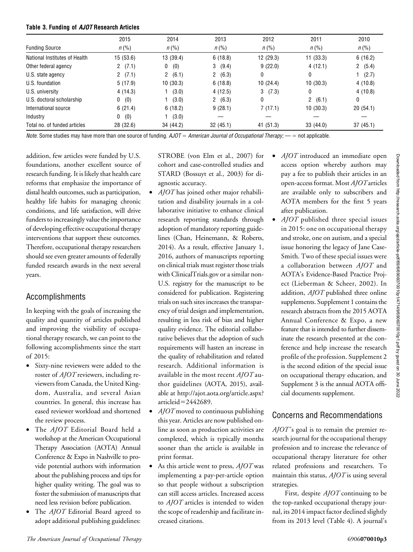#### Table 3. Funding of AJOT Research Articles

|                               | 2015      | 2014            | 2013        | 2012       | 2011      | 2010               |
|-------------------------------|-----------|-----------------|-------------|------------|-----------|--------------------|
| <b>Funding Source</b>         | $n (\% )$ | $n (\% )$       | $n (\% )$   | $n (\% )$  | $n (\% )$ | $n\left(\%\right)$ |
| National Institutes of Health | 15(53.6)  | 13 (39.4)       | 6(18.8)     | 12(29.3)   | 11(33.3)  | 6(16.2)            |
| Other federal agency          | (7.1)     | (0)<br>0        | (9.4)<br>3. | 9(22.0)    | 4(12.1)   | 2(5.4)             |
| U.S. state agency             | 2 $(7.1)$ | (6.1)<br>$^{2}$ | 2(6.3)      | 0          | 0         | (2.7)              |
| U.S. foundation               | 5(17.9)   | 10(30.3)        | 6(18.8)     | 10(24.4)   | 10(30.3)  | 4(10.8)            |
| U.S. university               | 4(14.3)   | (3.0)           | 4(12.5)     | (7.3)<br>3 | 0         | 4(10.8)            |
| U.S. doctoral scholarship     | (0)<br>0  | (3.0)           | 2(6.3)      | 0          | 2(6.1)    | 0                  |
| International source          | 6(21.4)   | 6(18.2)         | 9(28.1)     | 7(17.1)    | 10(30.3)  | 20(54.1)           |
| Industry                      | (0)<br>0  | (3.0)           |             |            |           |                    |
| Total no. of funded articles  | 28 (32.6) | 34 (44.2)       | 32(45.1)    | 41 (51.3)  | 33(44.0)  | 37(45.1)           |

Note. Some studies may have more than one source of funding.  $AJOT =$  American Journal of Occupational Therapy; —  $=$  not applicable.

addition, few articles were funded by U.S. foundations, another excellent source of research funding. It is likely that health care reforms that emphasize the importance of distal health outcomes, such as participation, healthy life habits for managing chronic conditions, and life satisfaction, will drive funders to increasingly value the importance of developing effective occupational therapy interventions that support these outcomes. Therefore, occupational therapy researchers should see even greater amounts of federally funded research awards in the next several years.

## Accomplishments

In keeping with the goals of increasing the quality and quantity of articles published and improving the visibility of occupational therapy research, we can point to the following accomplishments since the start of 2015:

- Sixty-nine reviewers were added to the roster of AJOT reviewers, including reviewers from Canada, the United Kingdom, Australia, and several Asian countries. In general, this increase has eased reviewer workload and shortened the review process.
- The AJOT Editorial Board held a workshop at the American Occupational Therapy Association (AOTA) Annual Conference & Expo in Nashville to provide potential authors with information about the publishing process and tips for higher quality writing. The goal was to foster the submission of manuscripts that need less revision before publication.
- The AJOT Editorial Board agreed to adopt additional publishing guidelines:

STROBE (von Elm et al., 2007) for cohort and case-controlled studies and STARD (Bossuyt et al., 2003) for diagnostic accuracy.

- $A$ *JOT* has joined other major rehabilitation and disability journals in a collaborative initiative to enhance clinical research reporting standards through adoption of mandatory reporting guidelines (Chan, Heinemann, & Roberts, 2014). As a result, effective January 1, 2016, authors of manuscripts reporting on clinical trials must register those trials with [ClinicalTrials.gov](http://ClinicalTrials.gov) or a similar non-U.S. registry for the manuscript to be considered for publication. Registering trials on such sites increases the transparency of trial design and implementation, resulting in less risk of bias and higher quality evidence. The editorial collaborative believes that the adoption of such requirements will hasten an increase in the quality of rehabilitation and related research. Additional information is available in the most recent  $A\text{}/\text{O}\text{T}$  author guidelines (AOTA, 2015), available at [http://ajot.aota.org/article.aspx?](http://ajot.aota.org/article.aspx?articleid=2442689)  $article$ id=[2442689](http://ajot.aota.org/article.aspx?articleid=2442689).
- $A$ *JOT* moved to continuous publishing this year. Articles are now published online as soon as production activities are completed, which is typically months sooner than the article is available in print format.
- As this article went to press,  $A$ *JOT* was implementing a pay-per-article option so that people without a subscription can still access articles. Increased access to *AJOT* articles is intended to widen the scope of readership and facilitate increased citations.
- *AJOT* introduced an immediate open access option whereby authors may pay a fee to publish their articles in an open-access format. Most AJOT articles are available only to subscribers and AOTA members for the first 5 years after publication.
	- $A$ *JOT* published three special issues in 2015: one on occupational therapy and stroke, one on autism, and a special issue honoring the legacy of Jane Case-Smith. Two of these special issues were a collaboration between AJOT and AOTA's Evidence-Based Practice Project (Lieberman & Scheer, 2002). In addition, AJOT published three online supplements. Supplement 1 contains the research abstracts from the 2015 AOTA Annual Conference & Expo, a new feature that is intended to further disseminate the research presented at the conference and help increase the research profile of the profession. Supplement 2 is the second edition of the special issue on occupational therapy education, and Supplement 3 is the annual AOTA official documents supplement.

## Concerns and Recommendations

 $A$ *JOT*'s goal is to remain the premier research journal for the occupational therapy profession and to increase the relevance of occupational therapy literature for other related professions and researchers. To maintain this status,  $A\text{O}\text{T}$  is using several strategies.

First, despite  $A$ *JOT* continuing to be the top-ranked occupational therapy journal, its 2014 impact factor declined slightly from its 2013 level (Table 4). A journal's